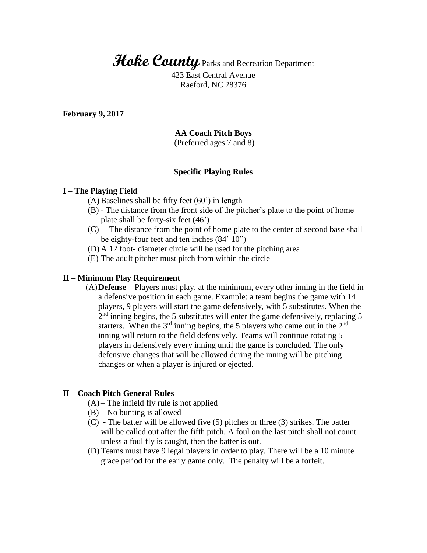**Hoke County** Parks and Recreation Department

423 East Central Avenue Raeford, NC 28376

**February 9, 2017**

# **AA Coach Pitch Boys**

(Preferred ages 7 and 8)

### **Specific Playing Rules**

#### **I – The Playing Field**

- (A) Baselines shall be fifty feet (60') in length
- (B) The distance from the front side of the pitcher's plate to the point of home plate shall be forty-six feet (46')
- (C) The distance from the point of home plate to the center of second base shall be eighty-four feet and ten inches (84' 10")
- (D) A 12 foot- diameter circle will be used for the pitching area
- (E) The adult pitcher must pitch from within the circle

## **II – Minimum Play Requirement**

(A)**Defense –** Players must play, at the minimum, every other inning in the field in a defensive position in each game. Example: a team begins the game with 14 players, 9 players will start the game defensively, with 5 substitutes. When the  $2<sup>nd</sup>$  inning begins, the 5 substitutes will enter the game defensively, replacing 5 starters. When the  $3<sup>rd</sup>$  inning begins, the 5 players who came out in the  $2<sup>nd</sup>$ inning will return to the field defensively. Teams will continue rotating 5 players in defensively every inning until the game is concluded. The only defensive changes that will be allowed during the inning will be pitching changes or when a player is injured or ejected.

### **II – Coach Pitch General Rules**

- $(A)$  The infield fly rule is not applied
- (B) No bunting is allowed
- (C) The batter will be allowed five (5) pitches or three (3) strikes. The batter will be called out after the fifth pitch. A foul on the last pitch shall not count unless a foul fly is caught, then the batter is out.
- (D) Teams must have 9 legal players in order to play. There will be a 10 minute grace period for the early game only. The penalty will be a forfeit.